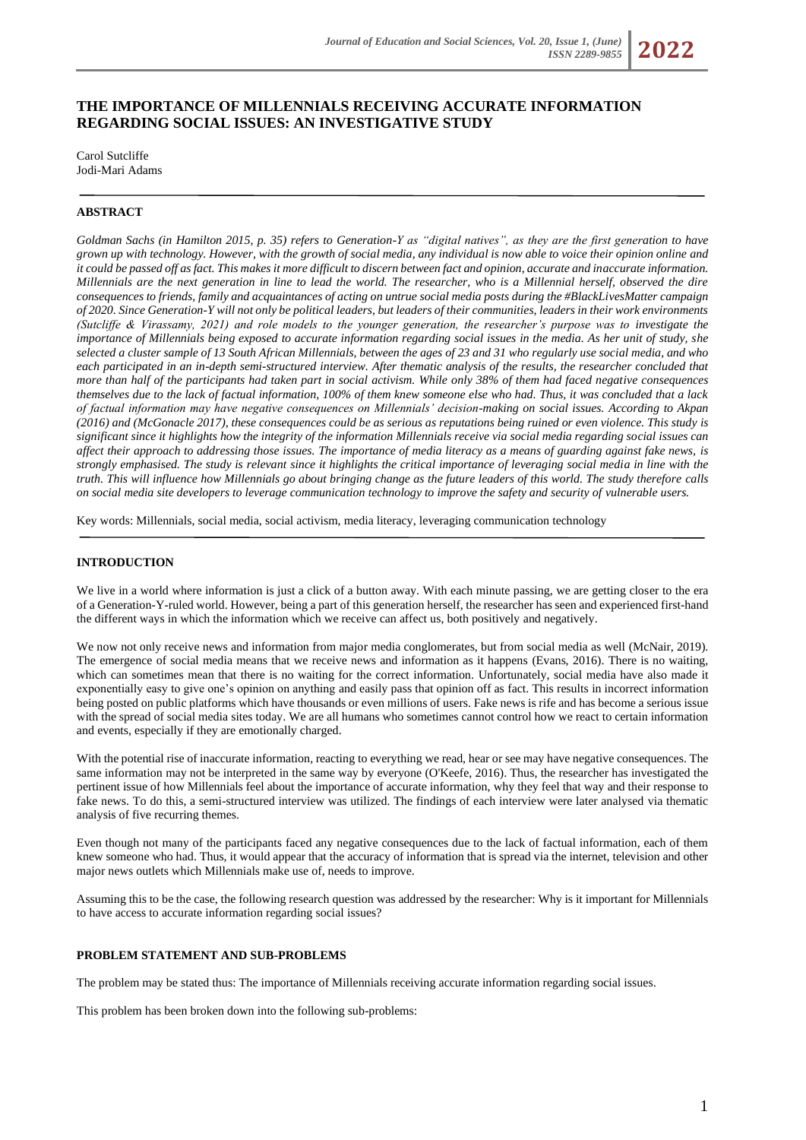# **THE IMPORTANCE OF MILLENNIALS RECEIVING ACCURATE INFORMATION REGARDING SOCIAL ISSUES: AN INVESTIGATIVE STUDY**

Carol Sutcliffe Jodi-Mari Adams

# **ABSTRACT**

*Goldman Sachs (in Hamilton 2015, p. 35) refers to Generation-Y as "digital natives", as they are the first generation to have grown up with technology. However, with the growth of social media, any individual is now able to voice their opinion online and it could be passed off as fact. This makes it more difficult to discern between fact and opinion, accurate and inaccurate information. Millennials are the next generation in line to lead the world. The researcher, who is a Millennial herself, observed the dire consequences to friends, family and acquaintances of acting on untrue social media posts during the #BlackLivesMatter campaign of 2020. Since Generation-Y will not only be political leaders, but leaders of their communities, leaders in their work environments (Sutcliffe & Virassamy, 2021) and role models to the younger generation, the researcher's purpose was to investigate the importance of Millennials being exposed to accurate information regarding social issues in the media. As her unit of study, she selected a cluster sample of 13 South African Millennials, between the ages of 23 and 31 who regularly use social media, and who each participated in an in-depth semi-structured interview. After thematic analysis of the results, the researcher concluded that more than half of the participants had taken part in social activism. While only 38% of them had faced negative consequences themselves due to the lack of factual information, 100% of them knew someone else who had. Thus, it was concluded that a lack of factual information may have negative consequences on Millennials' decision-making on social issues. According to Akpan (2016) and (McGonacle 2017), these consequences could be as serious as reputations being ruined or even violence. This study is significant since it highlights how the integrity of the information Millennials receive via social media regarding social issues can affect their approach to addressing those issues. The importance of media literacy as a means of guarding against fake news, is strongly emphasised. The study is relevant since it highlights the critical importance of leveraging social media in line with the truth. This will influence how Millennials go about bringing change as the future leaders of this world. The study therefore calls on social media site developers to leverage communication technology to improve the safety and security of vulnerable users.*

Key words: Millennials, social media, social activism, media literacy, leveraging communication technology

## **INTRODUCTION**

We live in a world where information is just a click of a button away. With each minute passing, we are getting closer to the era of a Generation-Y-ruled world. However, being a part of this generation herself, the researcher has seen and experienced first-hand the different ways in which the information which we receive can affect us, both positively and negatively.

We now not only receive news and information from major media conglomerates, but from social media as well (McNair, 2019). The emergence of social media means that we receive news and information as it happens (Evans, 2016). There is no waiting, which can sometimes mean that there is no waiting for the correct information. Unfortunately, social media have also made it exponentially easy to give one's opinion on anything and easily pass that opinion off as fact. This results in incorrect information being posted on public platforms which have thousands or even millions of users. Fake news is rife and has become a serious issue with the spread of social media sites today. We are all humans who sometimes cannot control how we react to certain information and events, especially if they are emotionally charged.

With the potential rise of inaccurate information, reacting to everything we read, hear or see may have negative consequences. The same information may not be interpreted in the same way by everyone (O'Keefe, 2016). Thus, the researcher has investigated the pertinent issue of how Millennials feel about the importance of accurate information, why they feel that way and their response to fake news. To do this, a semi-structured interview was utilized. The findings of each interview were later analysed via thematic analysis of five recurring themes.

Even though not many of the participants faced any negative consequences due to the lack of factual information, each of them knew someone who had. Thus, it would appear that the accuracy of information that is spread via the internet, television and other major news outlets which Millennials make use of, needs to improve.

Assuming this to be the case, the following research question was addressed by the researcher: Why is it important for Millennials to have access to accurate information regarding social issues?

# **PROBLEM STATEMENT AND SUB-PROBLEMS**

The problem may be stated thus: The importance of Millennials receiving accurate information regarding social issues.

This problem has been broken down into the following sub-problems: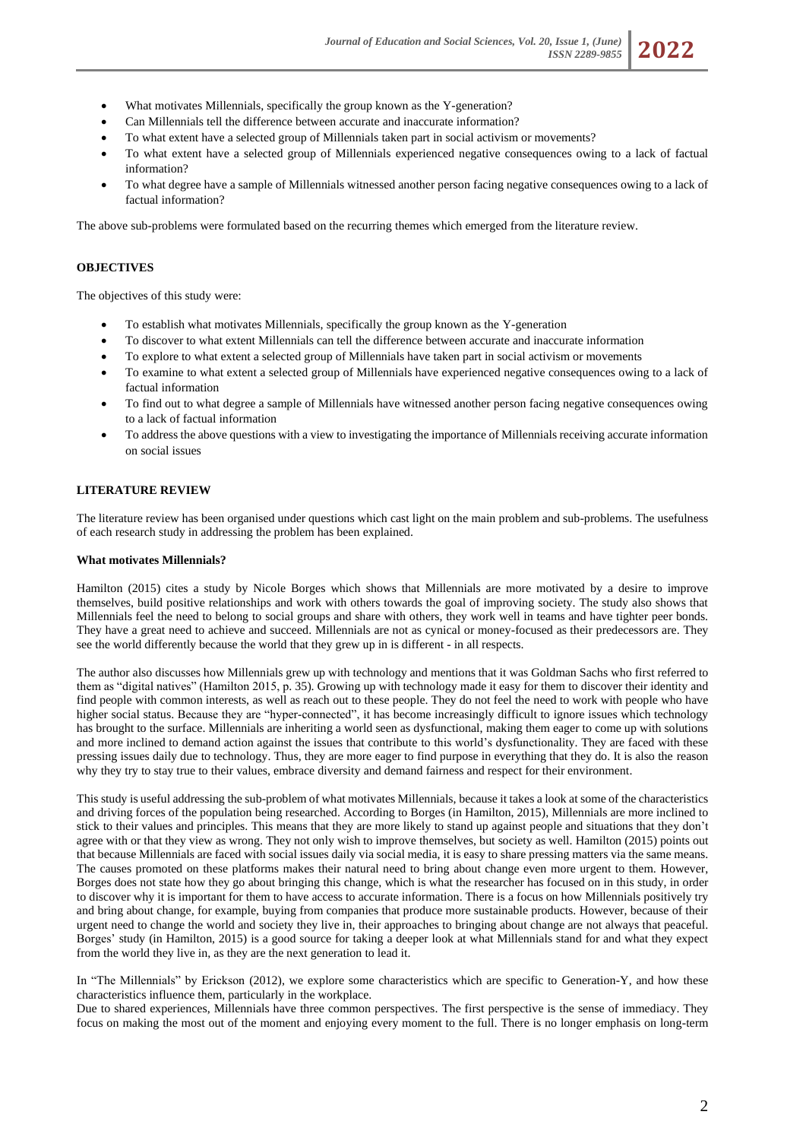- What motivates Millennials, specifically the group known as the Y-generation?
- Can Millennials tell the difference between accurate and inaccurate information?
- To what extent have a selected group of Millennials taken part in social activism or movements?
- To what extent have a selected group of Millennials experienced negative consequences owing to a lack of factual information?
- To what degree have a sample of Millennials witnessed another person facing negative consequences owing to a lack of factual information?

The above sub-problems were formulated based on the recurring themes which emerged from the literature review.

# **OBJECTIVES**

The objectives of this study were:

- To establish what motivates Millennials, specifically the group known as the Y-generation
- To discover to what extent Millennials can tell the difference between accurate and inaccurate information
- To explore to what extent a selected group of Millennials have taken part in social activism or movements
- To examine to what extent a selected group of Millennials have experienced negative consequences owing to a lack of factual information
- To find out to what degree a sample of Millennials have witnessed another person facing negative consequences owing to a lack of factual information
- To address the above questions with a view to investigating the importance of Millennials receiving accurate information on social issues

### **LITERATURE REVIEW**

The literature review has been organised under questions which cast light on the main problem and sub-problems. The usefulness of each research study in addressing the problem has been explained.

#### **What motivates Millennials?**

Hamilton (2015) cites a study by Nicole Borges which shows that Millennials are more motivated by a desire to improve themselves, build positive relationships and work with others towards the goal of improving society. The study also shows that Millennials feel the need to belong to social groups and share with others, they work well in teams and have tighter peer bonds. They have a great need to achieve and succeed. Millennials are not as cynical or money-focused as their predecessors are. They see the world differently because the world that they grew up in is different - in all respects.

The author also discusses how Millennials grew up with technology and mentions that it was Goldman Sachs who first referred to them as "digital natives" (Hamilton 2015, p. 35). Growing up with technology made it easy for them to discover their identity and find people with common interests, as well as reach out to these people. They do not feel the need to work with people who have higher social status. Because they are "hyper-connected", it has become increasingly difficult to ignore issues which technology has brought to the surface. Millennials are inheriting a world seen as dysfunctional, making them eager to come up with solutions and more inclined to demand action against the issues that contribute to this world's dysfunctionality. They are faced with these pressing issues daily due to technology. Thus, they are more eager to find purpose in everything that they do. It is also the reason why they try to stay true to their values, embrace diversity and demand fairness and respect for their environment.

This study is useful addressing the sub-problem of what motivates Millennials, because it takes a look at some of the characteristics and driving forces of the population being researched. According to Borges (in Hamilton, 2015), Millennials are more inclined to stick to their values and principles. This means that they are more likely to stand up against people and situations that they don't agree with or that they view as wrong. They not only wish to improve themselves, but society as well. Hamilton (2015) points out that because Millennials are faced with social issues daily via social media, it is easy to share pressing matters via the same means. The causes promoted on these platforms makes their natural need to bring about change even more urgent to them. However, Borges does not state how they go about bringing this change, which is what the researcher has focused on in this study, in order to discover why it is important for them to have access to accurate information. There is a focus on how Millennials positively try and bring about change, for example, buying from companies that produce more sustainable products. However, because of their urgent need to change the world and society they live in, their approaches to bringing about change are not always that peaceful. Borges' study (in Hamilton, 2015) is a good source for taking a deeper look at what Millennials stand for and what they expect from the world they live in, as they are the next generation to lead it.

In "The Millennials" by Erickson (2012), we explore some characteristics which are specific to Generation-Y, and how these characteristics influence them, particularly in the workplace.

Due to shared experiences, Millennials have three common perspectives. The first perspective is the sense of immediacy. They focus on making the most out of the moment and enjoying every moment to the full. There is no longer emphasis on long-term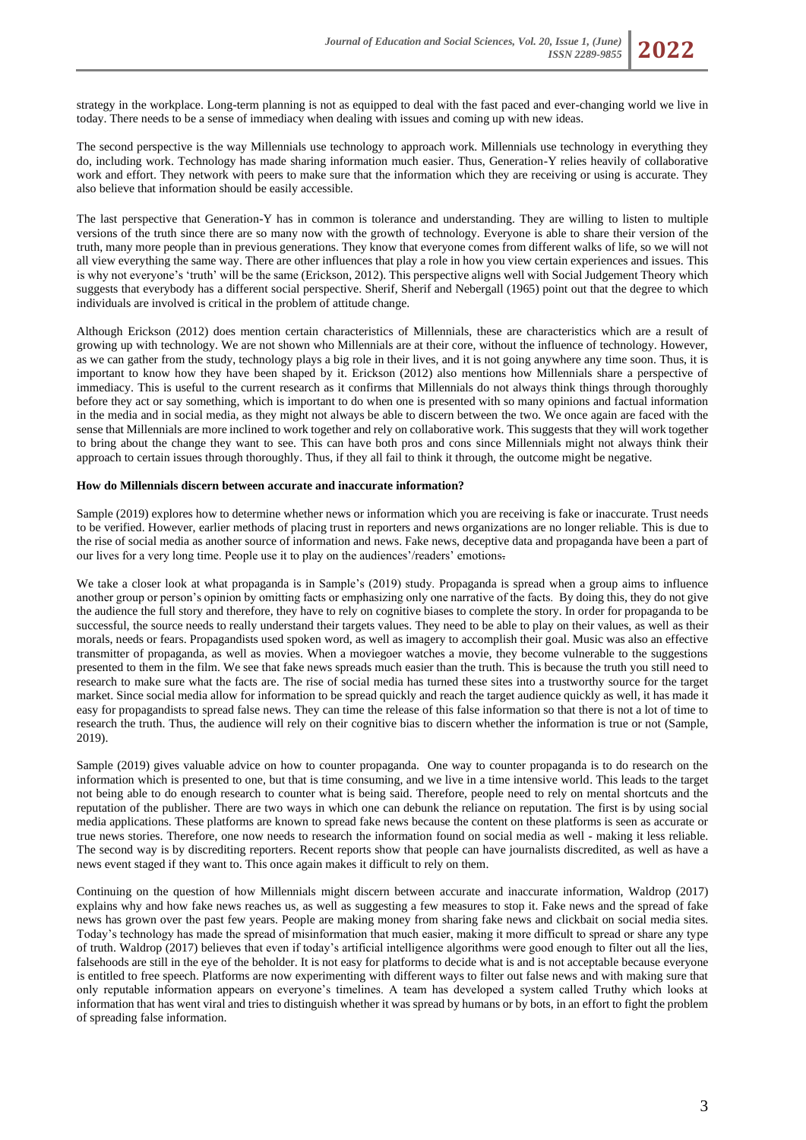strategy in the workplace. Long-term planning is not as equipped to deal with the fast paced and ever-changing world we live in today. There needs to be a sense of immediacy when dealing with issues and coming up with new ideas.

The second perspective is the way Millennials use technology to approach work. Millennials use technology in everything they do, including work. Technology has made sharing information much easier. Thus, Generation-Y relies heavily of collaborative work and effort. They network with peers to make sure that the information which they are receiving or using is accurate. They also believe that information should be easily accessible.

The last perspective that Generation-Y has in common is tolerance and understanding. They are willing to listen to multiple versions of the truth since there are so many now with the growth of technology. Everyone is able to share their version of the truth, many more people than in previous generations. They know that everyone comes from different walks of life, so we will not all view everything the same way. There are other influences that play a role in how you view certain experiences and issues. This is why not everyone's 'truth' will be the same (Erickson, 2012). This perspective aligns well with Social Judgement Theory which suggests that everybody has a different social perspective. Sherif, Sherif and Nebergall (1965) point out that the degree to which individuals are involved is critical in the problem of attitude change.

Although Erickson (2012) does mention certain characteristics of Millennials, these are characteristics which are a result of growing up with technology. We are not shown who Millennials are at their core, without the influence of technology. However, as we can gather from the study, technology plays a big role in their lives, and it is not going anywhere any time soon. Thus, it is important to know how they have been shaped by it. Erickson (2012) also mentions how Millennials share a perspective of immediacy. This is useful to the current research as it confirms that Millennials do not always think things through thoroughly before they act or say something, which is important to do when one is presented with so many opinions and factual information in the media and in social media, as they might not always be able to discern between the two. We once again are faced with the sense that Millennials are more inclined to work together and rely on collaborative work. This suggests that they will work together to bring about the change they want to see. This can have both pros and cons since Millennials might not always think their approach to certain issues through thoroughly. Thus, if they all fail to think it through, the outcome might be negative.

## **How do Millennials discern between accurate and inaccurate information?**

Sample (2019) explores how to determine whether news or information which you are receiving is fake or inaccurate. Trust needs to be verified. However, earlier methods of placing trust in reporters and news organizations are no longer reliable. This is due to the rise of social media as another source of information and news. Fake news, deceptive data and propaganda have been a part of our lives for a very long time. People use it to play on the audiences'/readers' emotions.

We take a closer look at what propaganda is in Sample's (2019) study. Propaganda is spread when a group aims to influence another group or person's opinion by omitting facts or emphasizing only one narrative of the facts. By doing this, they do not give the audience the full story and therefore, they have to rely on cognitive biases to complete the story. In order for propaganda to be successful, the source needs to really understand their targets values. They need to be able to play on their values, as well as their morals, needs or fears. Propagandists used spoken word, as well as imagery to accomplish their goal. Music was also an effective transmitter of propaganda, as well as movies. When a moviegoer watches a movie, they become vulnerable to the suggestions presented to them in the film. We see that fake news spreads much easier than the truth. This is because the truth you still need to research to make sure what the facts are. The rise of social media has turned these sites into a trustworthy source for the target market. Since social media allow for information to be spread quickly and reach the target audience quickly as well, it has made it easy for propagandists to spread false news. They can time the release of this false information so that there is not a lot of time to research the truth. Thus, the audience will rely on their cognitive bias to discern whether the information is true or not (Sample, 2019).

Sample (2019) gives valuable advice on how to counter propaganda. One way to counter propaganda is to do research on the information which is presented to one, but that is time consuming, and we live in a time intensive world. This leads to the target not being able to do enough research to counter what is being said. Therefore, people need to rely on mental shortcuts and the reputation of the publisher. There are two ways in which one can debunk the reliance on reputation. The first is by using social media applications. These platforms are known to spread fake news because the content on these platforms is seen as accurate or true news stories. Therefore, one now needs to research the information found on social media as well - making it less reliable. The second way is by discrediting reporters. Recent reports show that people can have journalists discredited, as well as have a news event staged if they want to. This once again makes it difficult to rely on them.

Continuing on the question of how Millennials might discern between accurate and inaccurate information, Waldrop (2017) explains why and how fake news reaches us, as well as suggesting a few measures to stop it. Fake news and the spread of fake news has grown over the past few years. People are making money from sharing fake news and clickbait on social media sites. Today's technology has made the spread of misinformation that much easier, making it more difficult to spread or share any type of truth. Waldrop (2017) believes that even if today's artificial intelligence algorithms were good enough to filter out all the lies, falsehoods are still in the eye of the beholder. It is not easy for platforms to decide what is and is not acceptable because everyone is entitled to free speech. Platforms are now experimenting with different ways to filter out false news and with making sure that only reputable information appears on everyone's timelines. A team has developed a system called Truthy which looks at information that has went viral and tries to distinguish whether it was spread by humans or by bots, in an effort to fight the problem of spreading false information.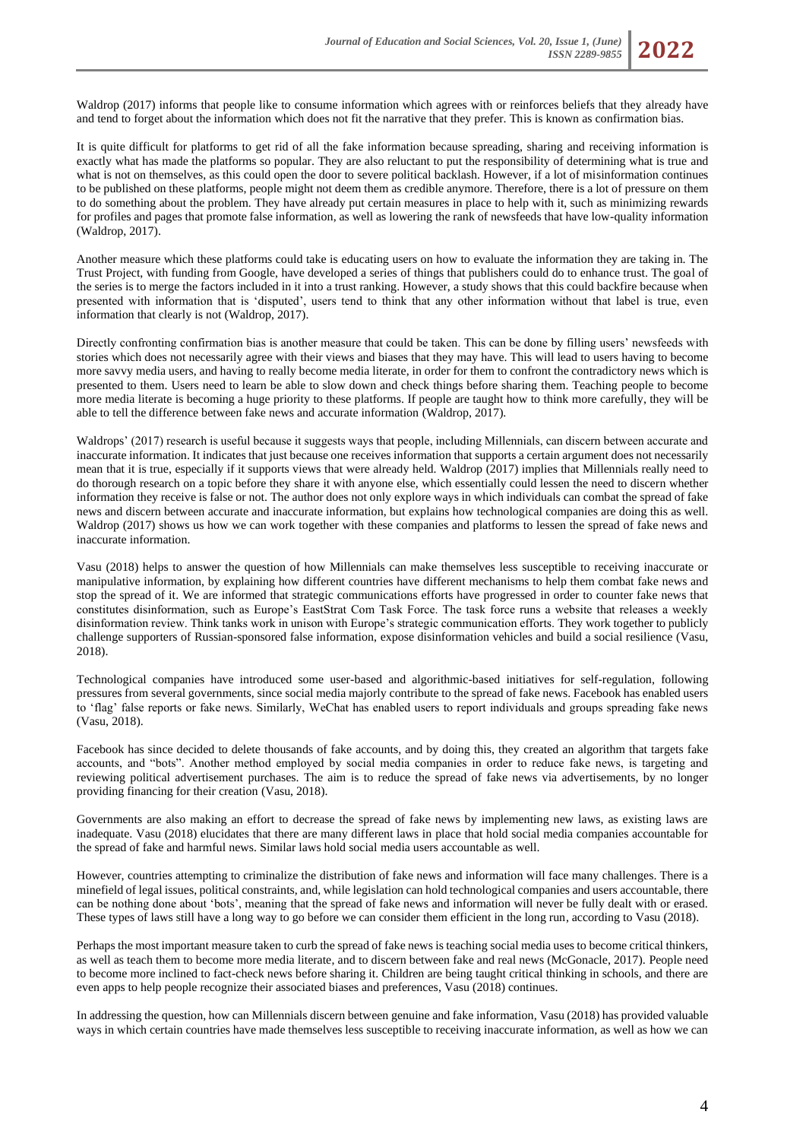Waldrop (2017) informs that people like to consume information which agrees with or reinforces beliefs that they already have and tend to forget about the information which does not fit the narrative that they prefer. This is known as confirmation bias.

It is quite difficult for platforms to get rid of all the fake information because spreading, sharing and receiving information is exactly what has made the platforms so popular. They are also reluctant to put the responsibility of determining what is true and what is not on themselves, as this could open the door to severe political backlash. However, if a lot of misinformation continues to be published on these platforms, people might not deem them as credible anymore. Therefore, there is a lot of pressure on them to do something about the problem. They have already put certain measures in place to help with it, such as minimizing rewards for profiles and pages that promote false information, as well as lowering the rank of newsfeeds that have low-quality information (Waldrop, 2017).

Another measure which these platforms could take is educating users on how to evaluate the information they are taking in. The Trust Project, with funding from Google, have developed a series of things that publishers could do to enhance trust. The goal of the series is to merge the factors included in it into a trust ranking. However, a study shows that this could backfire because when presented with information that is 'disputed', users tend to think that any other information without that label is true, even information that clearly is not (Waldrop, 2017).

Directly confronting confirmation bias is another measure that could be taken. This can be done by filling users' newsfeeds with stories which does not necessarily agree with their views and biases that they may have. This will lead to users having to become more savvy media users, and having to really become media literate, in order for them to confront the contradictory news which is presented to them. Users need to learn be able to slow down and check things before sharing them. Teaching people to become more media literate is becoming a huge priority to these platforms. If people are taught how to think more carefully, they will be able to tell the difference between fake news and accurate information (Waldrop, 2017).

Waldrops' (2017) research is useful because it suggests ways that people, including Millennials, can discern between accurate and inaccurate information. It indicates that just because one receives information that supports a certain argument does not necessarily mean that it is true, especially if it supports views that were already held. Waldrop (2017) implies that Millennials really need to do thorough research on a topic before they share it with anyone else, which essentially could lessen the need to discern whether information they receive is false or not. The author does not only explore ways in which individuals can combat the spread of fake news and discern between accurate and inaccurate information, but explains how technological companies are doing this as well. Waldrop (2017) shows us how we can work together with these companies and platforms to lessen the spread of fake news and inaccurate information.

Vasu (2018) helps to answer the question of how Millennials can make themselves less susceptible to receiving inaccurate or manipulative information, by explaining how different countries have different mechanisms to help them combat fake news and stop the spread of it. We are informed that strategic communications efforts have progressed in order to counter fake news that constitutes disinformation, such as Europe's EastStrat Com Task Force. The task force runs a website that releases a weekly disinformation review. Think tanks work in unison with Europe's strategic communication efforts. They work together to publicly challenge supporters of Russian-sponsored false information, expose disinformation vehicles and build a social resilience (Vasu, 2018).

Technological companies have introduced some user-based and algorithmic-based initiatives for self-regulation, following pressures from several governments, since social media majorly contribute to the spread of fake news. Facebook has enabled users to 'flag' false reports or fake news. Similarly, WeChat has enabled users to report individuals and groups spreading fake news (Vasu, 2018).

Facebook has since decided to delete thousands of fake accounts, and by doing this, they created an algorithm that targets fake accounts, and "bots". Another method employed by social media companies in order to reduce fake news, is targeting and reviewing political advertisement purchases. The aim is to reduce the spread of fake news via advertisements, by no longer providing financing for their creation (Vasu, 2018).

Governments are also making an effort to decrease the spread of fake news by implementing new laws, as existing laws are inadequate. Vasu (2018) elucidates that there are many different laws in place that hold social media companies accountable for the spread of fake and harmful news. Similar laws hold social media users accountable as well.

However, countries attempting to criminalize the distribution of fake news and information will face many challenges. There is a minefield of legal issues, political constraints, and, while legislation can hold technological companies and users accountable, there can be nothing done about 'bots', meaning that the spread of fake news and information will never be fully dealt with or erased. These types of laws still have a long way to go before we can consider them efficient in the long run, according to Vasu (2018).

Perhaps the most important measure taken to curb the spread of fake news is teaching social media uses to become critical thinkers, as well as teach them to become more media literate, and to discern between fake and real news (McGonacle, 2017). People need to become more inclined to fact-check news before sharing it. Children are being taught critical thinking in schools, and there are even apps to help people recognize their associated biases and preferences, Vasu (2018) continues.

In addressing the question, how can Millennials discern between genuine and fake information, Vasu (2018) has provided valuable ways in which certain countries have made themselves less susceptible to receiving inaccurate information, as well as how we can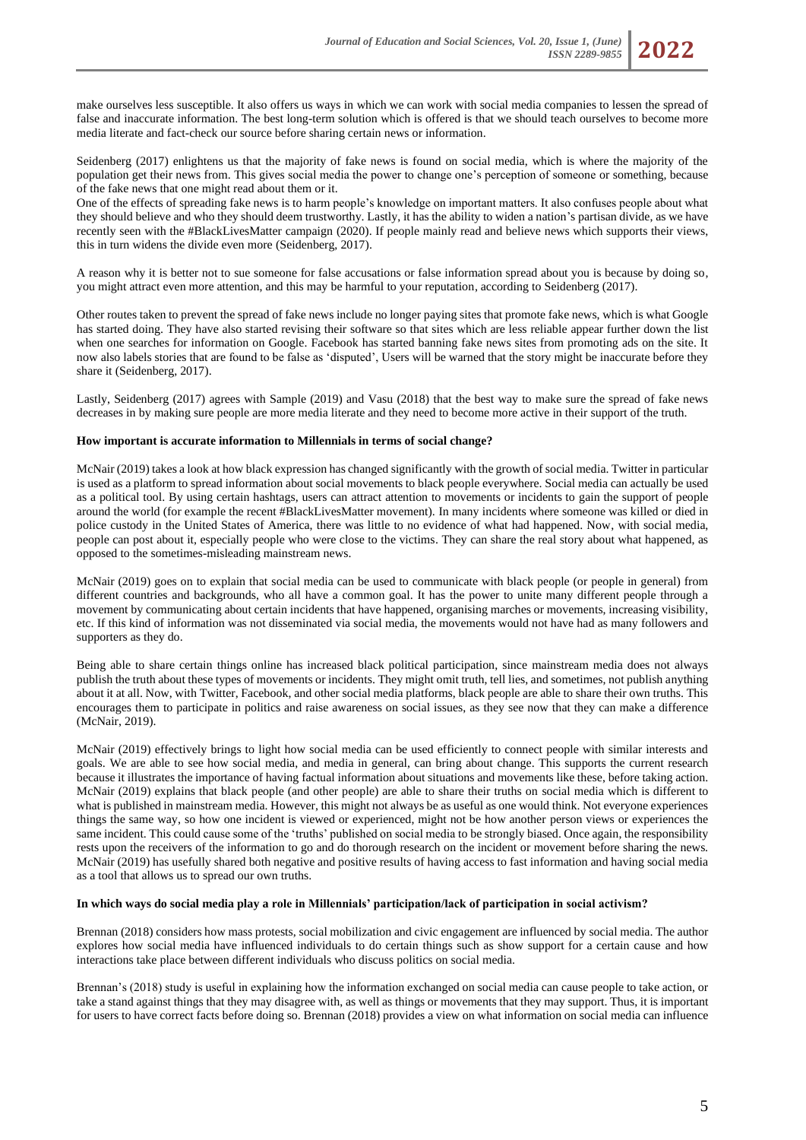make ourselves less susceptible. It also offers us ways in which we can work with social media companies to lessen the spread of false and inaccurate information. The best long-term solution which is offered is that we should teach ourselves to become more media literate and fact-check our source before sharing certain news or information.

Seidenberg (2017) enlightens us that the majority of fake news is found on social media, which is where the majority of the population get their news from. This gives social media the power to change one's perception of someone or something, because of the fake news that one might read about them or it.

One of the effects of spreading fake news is to harm people's knowledge on important matters. It also confuses people about what they should believe and who they should deem trustworthy. Lastly, it has the ability to widen a nation's partisan divide, as we have recently seen with the #BlackLivesMatter campaign (2020). If people mainly read and believe news which supports their views, this in turn widens the divide even more (Seidenberg, 2017).

A reason why it is better not to sue someone for false accusations or false information spread about you is because by doing so, you might attract even more attention, and this may be harmful to your reputation, according to Seidenberg (2017).

Other routes taken to prevent the spread of fake news include no longer paying sites that promote fake news, which is what Google has started doing. They have also started revising their software so that sites which are less reliable appear further down the list when one searches for information on Google. Facebook has started banning fake news sites from promoting ads on the site. It now also labels stories that are found to be false as 'disputed', Users will be warned that the story might be inaccurate before they share it (Seidenberg, 2017).

Lastly, Seidenberg (2017) agrees with Sample (2019) and Vasu (2018) that the best way to make sure the spread of fake news decreases in by making sure people are more media literate and they need to become more active in their support of the truth.

## **How important is accurate information to Millennials in terms of social change?**

McNair (2019) takes a look at how black expression has changed significantly with the growth of social media. Twitter in particular is used as a platform to spread information about social movements to black people everywhere. Social media can actually be used as a political tool. By using certain hashtags, users can attract attention to movements or incidents to gain the support of people around the world (for example the recent #BlackLivesMatter movement). In many incidents where someone was killed or died in police custody in the United States of America, there was little to no evidence of what had happened. Now, with social media, people can post about it, especially people who were close to the victims. They can share the real story about what happened, as opposed to the sometimes-misleading mainstream news.

McNair (2019) goes on to explain that social media can be used to communicate with black people (or people in general) from different countries and backgrounds, who all have a common goal. It has the power to unite many different people through a movement by communicating about certain incidents that have happened, organising marches or movements, increasing visibility, etc. If this kind of information was not disseminated via social media, the movements would not have had as many followers and supporters as they do.

Being able to share certain things online has increased black political participation, since mainstream media does not always publish the truth about these types of movements or incidents. They might omit truth, tell lies, and sometimes, not publish anything about it at all. Now, with Twitter, Facebook, and other social media platforms, black people are able to share their own truths. This encourages them to participate in politics and raise awareness on social issues, as they see now that they can make a difference (McNair, 2019).

McNair (2019) effectively brings to light how social media can be used efficiently to connect people with similar interests and goals. We are able to see how social media, and media in general, can bring about change. This supports the current research because it illustrates the importance of having factual information about situations and movements like these, before taking action. McNair (2019) explains that black people (and other people) are able to share their truths on social media which is different to what is published in mainstream media. However, this might not always be as useful as one would think. Not everyone experiences things the same way, so how one incident is viewed or experienced, might not be how another person views or experiences the same incident. This could cause some of the 'truths' published on social media to be strongly biased. Once again, the responsibility rests upon the receivers of the information to go and do thorough research on the incident or movement before sharing the news. McNair (2019) has usefully shared both negative and positive results of having access to fast information and having social media as a tool that allows us to spread our own truths.

### **In which ways do social media play a role in Millennials' participation/lack of participation in social activism?**

Brennan (2018) considers how mass protests, social mobilization and civic engagement are influenced by social media. The author explores how social media have influenced individuals to do certain things such as show support for a certain cause and how interactions take place between different individuals who discuss politics on social media.

Brennan's (2018) study is useful in explaining how the information exchanged on social media can cause people to take action, or take a stand against things that they may disagree with, as well as things or movements that they may support. Thus, it is important for users to have correct facts before doing so. Brennan (2018) provides a view on what information on social media can influence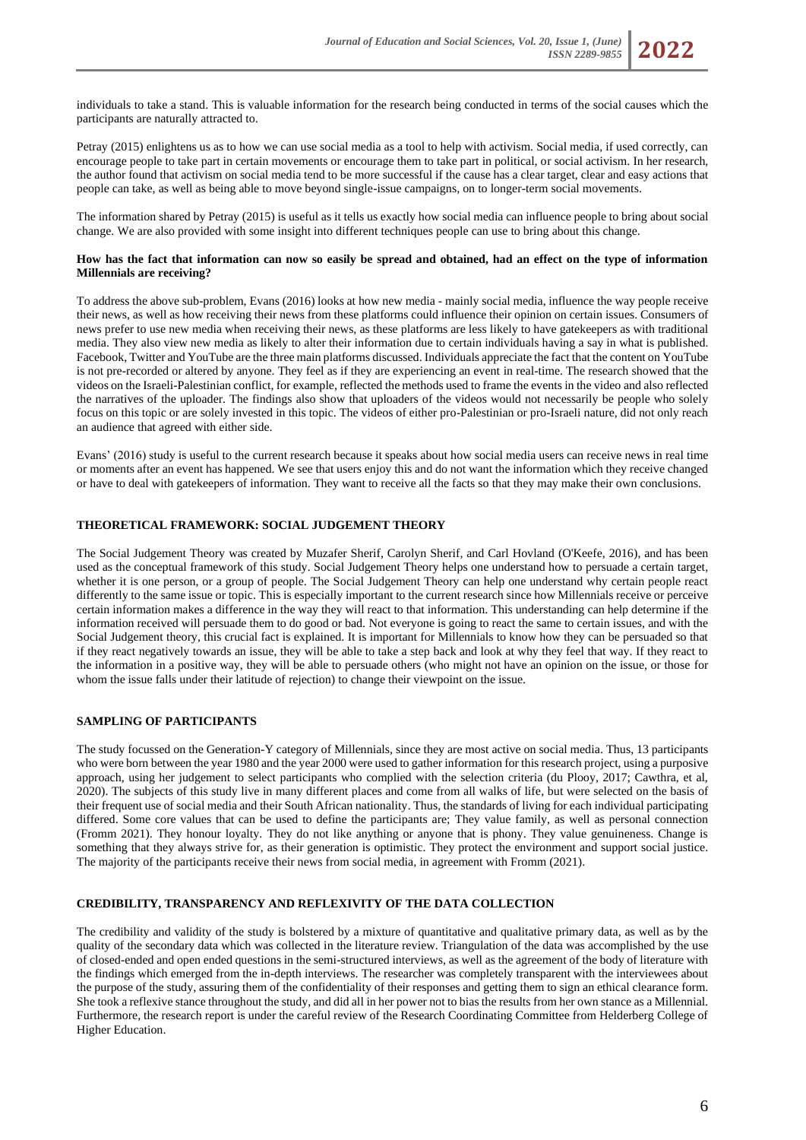

Petray (2015) enlightens us as to how we can use social media as a tool to help with activism. Social media, if used correctly, can encourage people to take part in certain movements or encourage them to take part in political, or social activism. In her research, the author found that activism on social media tend to be more successful if the cause has a clear target, clear and easy actions that people can take, as well as being able to move beyond single-issue campaigns, on to longer-term social movements.

The information shared by Petray (2015) is useful as it tells us exactly how social media can influence people to bring about social change. We are also provided with some insight into different techniques people can use to bring about this change.

## **How has the fact that information can now so easily be spread and obtained, had an effect on the type of information Millennials are receiving?**

To address the above sub-problem, Evans (2016) looks at how new media - mainly social media, influence the way people receive their news, as well as how receiving their news from these platforms could influence their opinion on certain issues. Consumers of news prefer to use new media when receiving their news, as these platforms are less likely to have gatekeepers as with traditional media. They also view new media as likely to alter their information due to certain individuals having a say in what is published. Facebook, Twitter and YouTube are the three main platforms discussed. Individuals appreciate the fact that the content on YouTube is not pre-recorded or altered by anyone. They feel as if they are experiencing an event in real-time. The research showed that the videos on the Israeli-Palestinian conflict, for example, reflected the methods used to frame the events in the video and also reflected the narratives of the uploader. The findings also show that uploaders of the videos would not necessarily be people who solely focus on this topic or are solely invested in this topic. The videos of either pro-Palestinian or pro-Israeli nature, did not only reach an audience that agreed with either side.

Evans' (2016) study is useful to the current research because it speaks about how social media users can receive news in real time or moments after an event has happened. We see that users enjoy this and do not want the information which they receive changed or have to deal with gatekeepers of information. They want to receive all the facts so that they may make their own conclusions.

# **THEORETICAL FRAMEWORK: SOCIAL JUDGEMENT THEORY**

The Social Judgement Theory was created by Muzafer Sherif, Carolyn Sherif, and Carl Hovland (O'Keefe, 2016), and has been used as the conceptual framework of this study. Social Judgement Theory helps one understand how to persuade a certain target, whether it is one person, or a group of people. The Social Judgement Theory can help one understand why certain people react differently to the same issue or topic. This is especially important to the current research since how Millennials receive or perceive certain information makes a difference in the way they will react to that information. This understanding can help determine if the information received will persuade them to do good or bad. Not everyone is going to react the same to certain issues, and with the Social Judgement theory, this crucial fact is explained. It is important for Millennials to know how they can be persuaded so that if they react negatively towards an issue, they will be able to take a step back and look at why they feel that way. If they react to the information in a positive way, they will be able to persuade others (who might not have an opinion on the issue, or those for whom the issue falls under their latitude of rejection) to change their viewpoint on the issue.

### **SAMPLING OF PARTICIPANTS**

The study focussed on the Generation-Y category of Millennials, since they are most active on social media. Thus, 13 participants who were born between the year 1980 and the year 2000 were used to gather information for this research project, using a purposive approach, using her judgement to select participants who complied with the selection criteria (du Plooy, 2017; Cawthra, et al, 2020). The subjects of this study live in many different places and come from all walks of life, but were selected on the basis of their frequent use of social media and their South African nationality. Thus, the standards of living for each individual participating differed. Some core values that can be used to define the participants are; They value family, as well as personal connection (Fromm 2021). They honour loyalty. They do not like anything or anyone that is phony. They value genuineness. Change is something that they always strive for, as their generation is optimistic. They protect the environment and support social justice. The majority of the participants receive their news from social media, in agreement with Fromm (2021).

# **CREDIBILITY, TRANSPARENCY AND REFLEXIVITY OF THE DATA COLLECTION**

The credibility and validity of the study is bolstered by a mixture of quantitative and qualitative primary data, as well as by the quality of the secondary data which was collected in the literature review. Triangulation of the data was accomplished by the use of closed-ended and open ended questions in the semi-structured interviews, as well as the agreement of the body of literature with the findings which emerged from the in-depth interviews. The researcher was completely transparent with the interviewees about the purpose of the study, assuring them of the confidentiality of their responses and getting them to sign an ethical clearance form. She took a reflexive stance throughout the study, and did all in her power not to bias the results from her own stance as a Millennial. Furthermore, the research report is under the careful review of the Research Coordinating Committee from Helderberg College of Higher Education.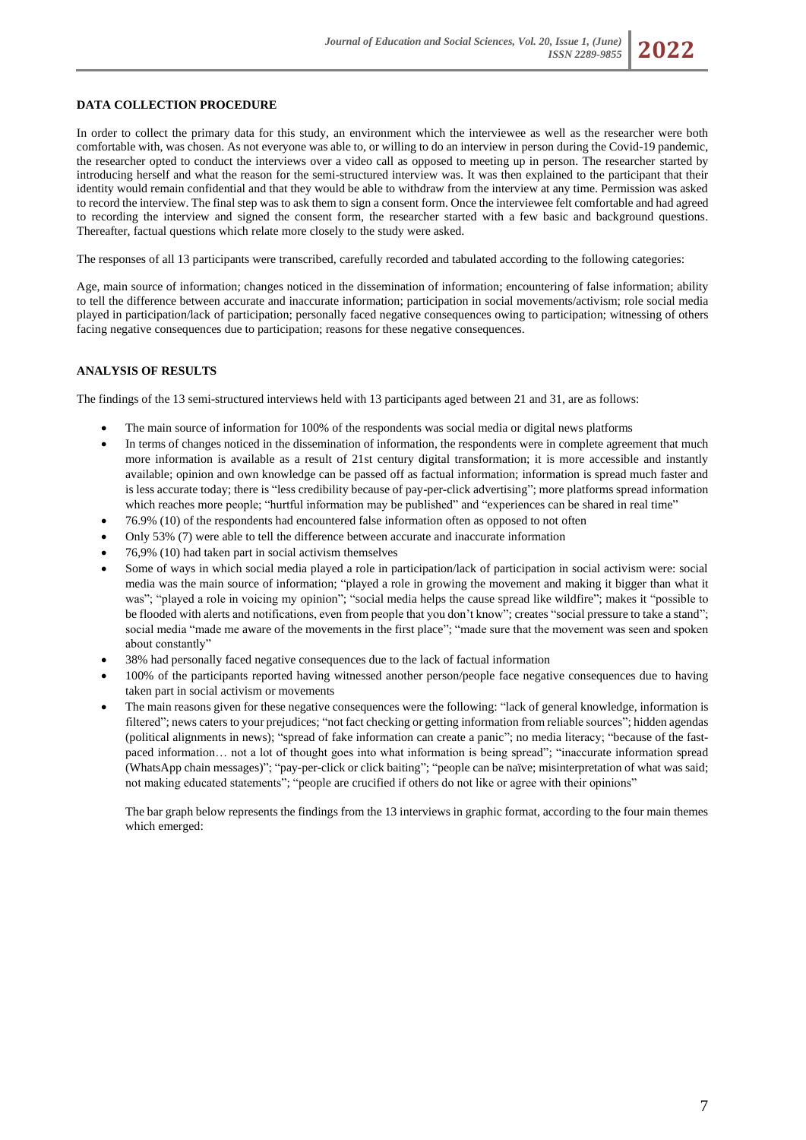# **DATA COLLECTION PROCEDURE**

In order to collect the primary data for this study, an environment which the interviewee as well as the researcher were both comfortable with, was chosen. As not everyone was able to, or willing to do an interview in person during the Covid-19 pandemic, the researcher opted to conduct the interviews over a video call as opposed to meeting up in person. The researcher started by introducing herself and what the reason for the semi-structured interview was. It was then explained to the participant that their identity would remain confidential and that they would be able to withdraw from the interview at any time. Permission was asked to record the interview. The final step was to ask them to sign a consent form. Once the interviewee felt comfortable and had agreed to recording the interview and signed the consent form, the researcher started with a few basic and background questions. Thereafter, factual questions which relate more closely to the study were asked.

The responses of all 13 participants were transcribed, carefully recorded and tabulated according to the following categories:

Age, main source of information; changes noticed in the dissemination of information; encountering of false information; ability to tell the difference between accurate and inaccurate information; participation in social movements/activism; role social media played in participation/lack of participation; personally faced negative consequences owing to participation; witnessing of others facing negative consequences due to participation; reasons for these negative consequences.

## **ANALYSIS OF RESULTS**

The findings of the 13 semi-structured interviews held with 13 participants aged between 21 and 31, are as follows:

- The main source of information for 100% of the respondents was social media or digital news platforms
- In terms of changes noticed in the dissemination of information, the respondents were in complete agreement that much more information is available as a result of 21st century digital transformation; it is more accessible and instantly available; opinion and own knowledge can be passed off as factual information; information is spread much faster and is less accurate today; there is "less credibility because of pay-per-click advertising"; more platforms spread information which reaches more people; "hurtful information may be published" and "experiences can be shared in real time"
- 76.9% (10) of the respondents had encountered false information often as opposed to not often
- Only 53% (7) were able to tell the difference between accurate and inaccurate information
- 76,9% (10) had taken part in social activism themselves
- Some of ways in which social media played a role in participation/lack of participation in social activism were: social media was the main source of information; "played a role in growing the movement and making it bigger than what it was"; "played a role in voicing my opinion"; "social media helps the cause spread like wildfire"; makes it "possible to be flooded with alerts and notifications, even from people that you don't know"; creates "social pressure to take a stand"; social media "made me aware of the movements in the first place"; "made sure that the movement was seen and spoken about constantly"
- 38% had personally faced negative consequences due to the lack of factual information
- 100% of the participants reported having witnessed another person/people face negative consequences due to having taken part in social activism or movements
- The main reasons given for these negative consequences were the following: "lack of general knowledge, information is filtered"; news caters to your prejudices; "not fact checking or getting information from reliable sources"; hidden agendas (political alignments in news); "spread of fake information can create a panic"; no media literacy; "because of the fastpaced information… not a lot of thought goes into what information is being spread"; "inaccurate information spread (WhatsApp chain messages)"; "pay-per-click or click baiting"; "people can be naïve; misinterpretation of what was said; not making educated statements"; "people are crucified if others do not like or agree with their opinions"

The bar graph below represents the findings from the 13 interviews in graphic format, according to the four main themes which emerged: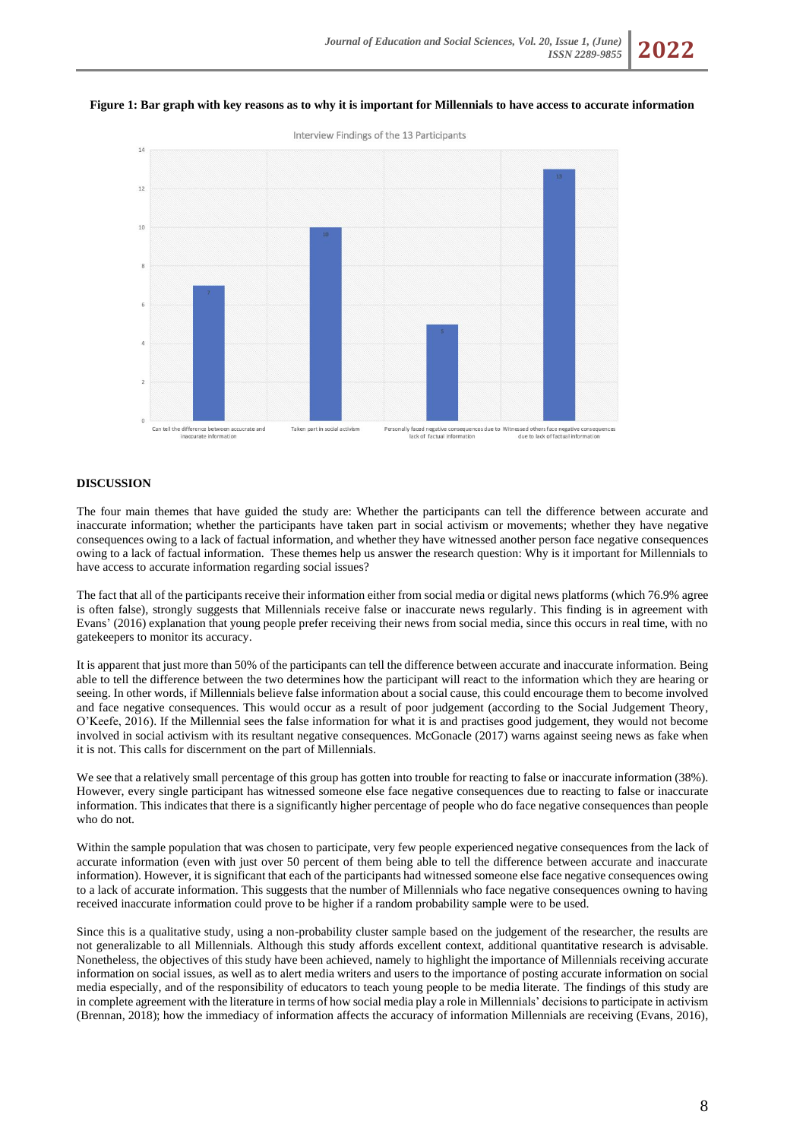#### **Figure 1: Bar graph with key reasons as to why it is important for Millennials to have access to accurate information**



# **DISCUSSION**

The four main themes that have guided the study are: Whether the participants can tell the difference between accurate and inaccurate information; whether the participants have taken part in social activism or movements; whether they have negative consequences owing to a lack of factual information, and whether they have witnessed another person face negative consequences owing to a lack of factual information. These themes help us answer the research question: Why is it important for Millennials to have access to accurate information regarding social issues?

The fact that all of the participants receive their information either from social media or digital news platforms (which 76.9% agree is often false), strongly suggests that Millennials receive false or inaccurate news regularly. This finding is in agreement with Evans' (2016) explanation that young people prefer receiving their news from social media, since this occurs in real time, with no gatekeepers to monitor its accuracy.

It is apparent that just more than 50% of the participants can tell the difference between accurate and inaccurate information. Being able to tell the difference between the two determines how the participant will react to the information which they are hearing or seeing. In other words, if Millennials believe false information about a social cause, this could encourage them to become involved and face negative consequences. This would occur as a result of poor judgement (according to the Social Judgement Theory, O'Keefe, 2016). If the Millennial sees the false information for what it is and practises good judgement, they would not become involved in social activism with its resultant negative consequences. McGonacle (2017) warns against seeing news as fake when it is not. This calls for discernment on the part of Millennials.

We see that a relatively small percentage of this group has gotten into trouble for reacting to false or inaccurate information (38%). However, every single participant has witnessed someone else face negative consequences due to reacting to false or inaccurate information. This indicates that there is a significantly higher percentage of people who do face negative consequences than people who do not.

Within the sample population that was chosen to participate, very few people experienced negative consequences from the lack of accurate information (even with just over 50 percent of them being able to tell the difference between accurate and inaccurate information). However, it is significant that each of the participants had witnessed someone else face negative consequences owing to a lack of accurate information. This suggests that the number of Millennials who face negative consequences owning to having received inaccurate information could prove to be higher if a random probability sample were to be used.

Since this is a qualitative study, using a non-probability cluster sample based on the judgement of the researcher, the results are not generalizable to all Millennials. Although this study affords excellent context, additional quantitative research is advisable. Nonetheless, the objectives of this study have been achieved, namely to highlight the importance of Millennials receiving accurate information on social issues, as well as to alert media writers and users to the importance of posting accurate information on social media especially, and of the responsibility of educators to teach young people to be media literate. The findings of this study are in complete agreement with the literature in terms of how social media play a role in Millennials' decisions to participate in activism (Brennan, 2018); how the immediacy of information affects the accuracy of information Millennials are receiving (Evans, 2016),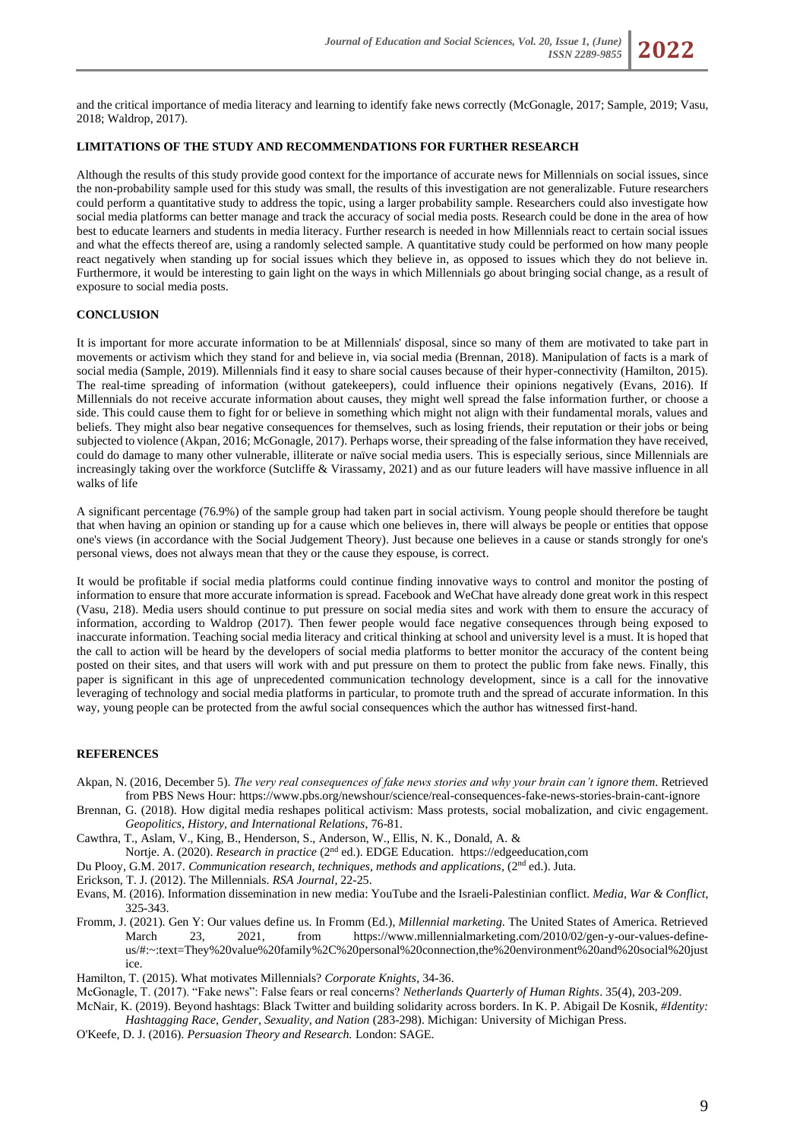and the critical importance of media literacy and learning to identify fake news correctly (McGonagle, 2017; Sample, 2019; Vasu, 2018; Waldrop, 2017).

# **LIMITATIONS OF THE STUDY AND RECOMMENDATIONS FOR FURTHER RESEARCH**

Although the results of this study provide good context for the importance of accurate news for Millennials on social issues, since the non-probability sample used for this study was small, the results of this investigation are not generalizable. Future researchers could perform a quantitative study to address the topic, using a larger probability sample. Researchers could also investigate how social media platforms can better manage and track the accuracy of social media posts. Research could be done in the area of how best to educate learners and students in media literacy. Further research is needed in how Millennials react to certain social issues and what the effects thereof are, using a randomly selected sample. A quantitative study could be performed on how many people react negatively when standing up for social issues which they believe in, as opposed to issues which they do not believe in. Furthermore, it would be interesting to gain light on the ways in which Millennials go about bringing social change, as a result of exposure to social media posts.

### **CONCLUSION**

It is important for more accurate information to be at Millennials' disposal, since so many of them are motivated to take part in movements or activism which they stand for and believe in, via social media (Brennan, 2018). Manipulation of facts is a mark of social media (Sample, 2019). Millennials find it easy to share social causes because of their hyper-connectivity (Hamilton, 2015). The real-time spreading of information (without gatekeepers), could influence their opinions negatively (Evans, 2016). If Millennials do not receive accurate information about causes, they might well spread the false information further, or choose a side. This could cause them to fight for or believe in something which might not align with their fundamental morals, values and beliefs. They might also bear negative consequences for themselves, such as losing friends, their reputation or their jobs or being subjected to violence (Akpan, 2016; McGonagle, 2017). Perhaps worse, their spreading of the false information they have received, could do damage to many other vulnerable, illiterate or naïve social media users. This is especially serious, since Millennials are increasingly taking over the workforce (Sutcliffe & Virassamy, 2021) and as our future leaders will have massive influence in all walks of life

A significant percentage (76.9%) of the sample group had taken part in social activism. Young people should therefore be taught that when having an opinion or standing up for a cause which one believes in, there will always be people or entities that oppose one's views (in accordance with the Social Judgement Theory). Just because one believes in a cause or stands strongly for one's personal views, does not always mean that they or the cause they espouse, is correct.

It would be profitable if social media platforms could continue finding innovative ways to control and monitor the posting of information to ensure that more accurate information is spread. Facebook and WeChat have already done great work in this respect (Vasu, 218). Media users should continue to put pressure on social media sites and work with them to ensure the accuracy of information, according to Waldrop (2017). Then fewer people would face negative consequences through being exposed to inaccurate information. Teaching social media literacy and critical thinking at school and university level is a must. It is hoped that the call to action will be heard by the developers of social media platforms to better monitor the accuracy of the content being posted on their sites, and that users will work with and put pressure on them to protect the public from fake news. Finally, this paper is significant in this age of unprecedented communication technology development, since is a call for the innovative leveraging of technology and social media platforms in particular, to promote truth and the spread of accurate information. In this way, young people can be protected from the awful social consequences which the author has witnessed first-hand.

# **REFERENCES**

- Akpan, N. (2016, December 5). *The very real consequences of fake news stories and why your brain can't ignore them*. Retrieved from PBS News Hour[: https://www.pbs.org/newshour/science/real-consequences-fake-news-stories-brain-cant-ignore](https://www.pbs.org/newshour/science/real-consequences-fake-news-stories-brain-cant-ignore)
- Brennan, G. (2018). How digital media reshapes political activism: Mass protests, social mobalization, and civic engagement. *Geopolitics, History, and International Relations*, 76-81.
- Cawthra, T., Aslam, V., King, B., Henderson, S., Anderson, W., Ellis, N. K., Donald, A. & Nortje. A. (2020). *Research in practice* (2nd ed.). EDGE Education. [https://edgeeducation,com](https://edgeeducation,com/)
- Du Plooy, G.M. 2017. *Communication research, techniques, methods and applications, (2<sup>nd ed.)*. Juta.</sup>
- Erickson, T. J. (2012). The Millennials. *RSA Journal*, 22-25.
- Evans, M. (2016). Information dissemination in new media: YouTube and the Israeli-Palestinian conflict. *Media, War & Conflict*, 325-343.
- Fromm, J. (2021). Gen Y: Our values define us. In Fromm (Ed.), *Millennial marketing*. The United States of America. Retrieved March 23, 2021, from [https://www.millennialmarketing.com/2010/02/gen-y-our-values-define](https://www.millennialmarketing.com/2010/02/gen-y-our-values-define-us/#:~:text=They%20value%20family%2C%20personal%20connection,the%20environment%20and%20social%20justice)[us/#:~:text=They%20value%20family%2C%20personal%20connection,the%20environment%20and%20social%20just](https://www.millennialmarketing.com/2010/02/gen-y-our-values-define-us/#:~:text=They%20value%20family%2C%20personal%20connection,the%20environment%20and%20social%20justice) [ice.](https://www.millennialmarketing.com/2010/02/gen-y-our-values-define-us/#:~:text=They%20value%20family%2C%20personal%20connection,the%20environment%20and%20social%20justice)

Hamilton, T. (2015). What motivates Millennials? *Corporate Knights*, 34-36.

McGonagle, T. (2017). "Fake news": False fears or real concerns? *Netherlands Quarterly of Human Rights*. 35(4), 203-209.

- McNair, K. (2019). Beyond hashtags: Black Twitter and building solidarity across borders. In K. P. Abigail De Kosnik, *#Identity: Hashtagging Race, Gender, Sexuality, and Nation* (283-298). Michigan: University of Michigan Press.
- O'Keefe, D. J. (2016). *Persuasion Theory and Research.* London: SAGE.